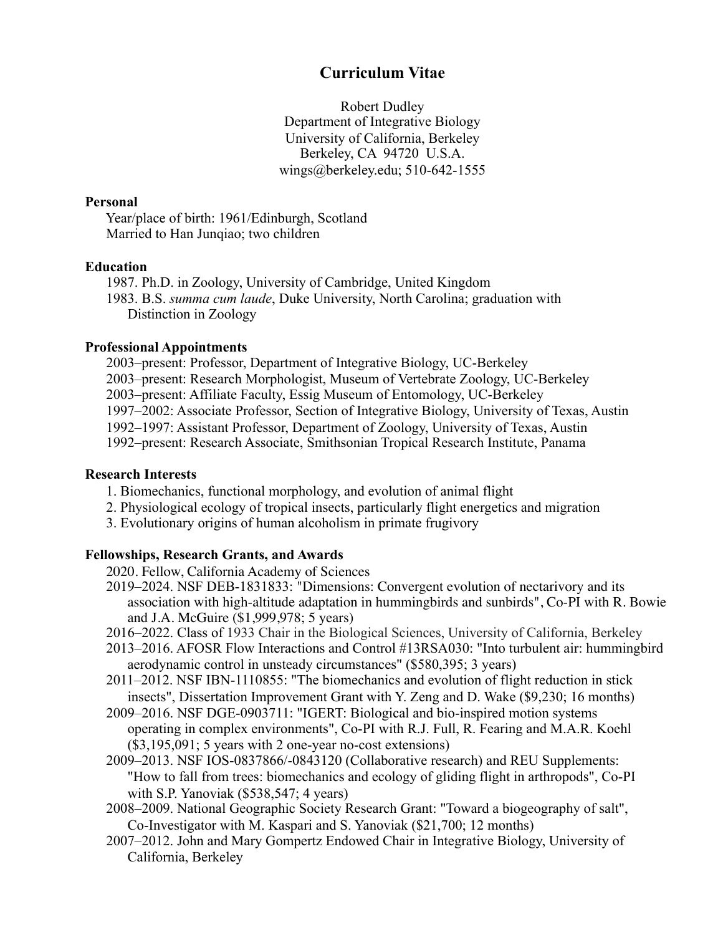# **Curriculum Vitae**

Robert Dudley Department of Integrative Biology University of California, Berkeley Berkeley, CA 94720 U.S.A. wings@berkeley.edu; 510-642-1555

#### **Personal**

 Year/place of birth: 1961/Edinburgh, Scotland Married to Han Junqiao; two children

#### **Education**

 1987. Ph.D. in Zoology, University of Cambridge, United Kingdom 1983. B.S. *summa cum laude*, Duke University, North Carolina; graduation with Distinction in Zoology

#### **Professional Appointments**

 2003–present: Professor, Department of Integrative Biology, UC-Berkeley 2003–present: Research Morphologist, Museum of Vertebrate Zoology, UC-Berkeley 2003–present: Affiliate Faculty, Essig Museum of Entomology, UC-Berkeley 1997–2002: Associate Professor, Section of Integrative Biology, University of Texas, Austin 1992–1997: Assistant Professor, Department of Zoology, University of Texas, Austin 1992–present: Research Associate, Smithsonian Tropical Research Institute, Panama

#### **Research Interests**

- 1. Biomechanics, functional morphology, and evolution of animal flight
- 2. Physiological ecology of tropical insects, particularly flight energetics and migration
- 3. Evolutionary origins of human alcoholism in primate frugivory

### **Fellowships, Research Grants, and Awards**

- 2020. Fellow, California Academy of Sciences
- 2019–2024. NSF DEB-1831833: "Dimensions: Convergent evolution of nectarivory and its association with high-altitude adaptation in hummingbirds and sunbirds", Co-PI with R. Bowie and J.A. McGuire (\$1,999,978; 5 years)
- 2016–2022. Class of 1933 Chair in the Biological Sciences, University of California, Berkeley
- 2013–2016. AFOSR Flow Interactions and Control #13RSA030: "Into turbulent air: hummingbird aerodynamic control in unsteady circumstances" (\$580,395; 3 years)
- 2011–2012. NSF IBN-1110855: "The biomechanics and evolution of flight reduction in stick insects", Dissertation Improvement Grant with Y. Zeng and D. Wake (\$9,230; 16 months)
- 2009–2016. NSF DGE-0903711: "IGERT: Biological and bio-inspired motion systems operating in complex environments", Co-PI with R.J. Full, R. Fearing and M.A.R. Koehl (\$3,195,091; 5 years with 2 one-year no-cost extensions)
- 2009–2013. NSF IOS-0837866/-0843120 (Collaborative research) and REU Supplements: "How to fall from trees: biomechanics and ecology of gliding flight in arthropods", Co-PI with S.P. Yanoviak (\$538,547; 4 years)
- 2008–2009. National Geographic Society Research Grant: "Toward a biogeography of salt", Co-Investigator with M. Kaspari and S. Yanoviak (\$21,700; 12 months)
- 2007–2012. John and Mary Gompertz Endowed Chair in Integrative Biology, University of California, Berkeley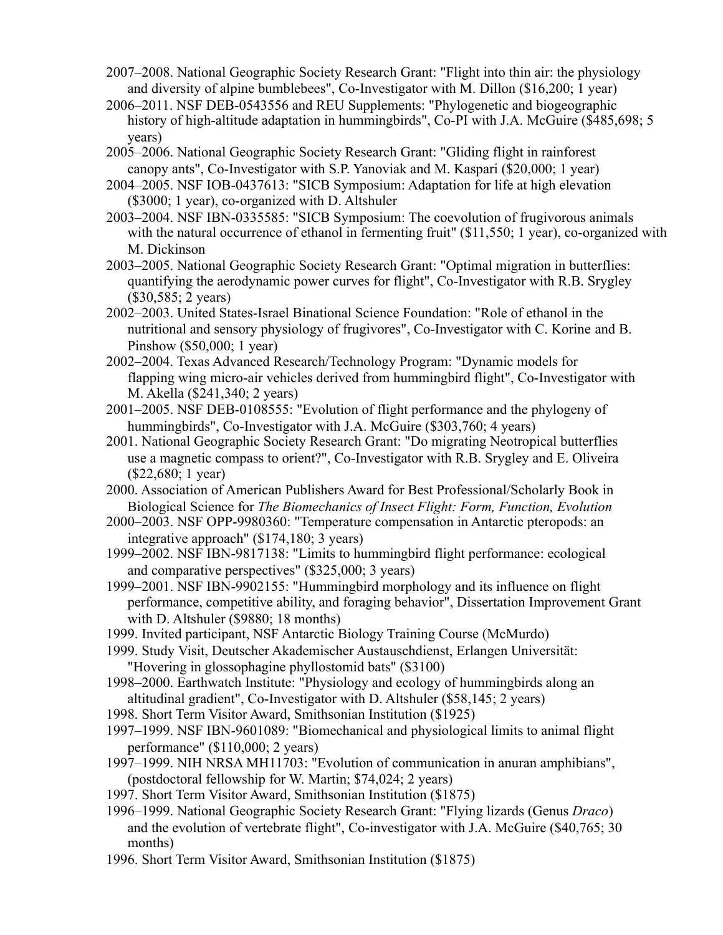- 2007–2008. National Geographic Society Research Grant: "Flight into thin air: the physiology and diversity of alpine bumblebees", Co-Investigator with M. Dillon (\$16,200; 1 year)
- 2006–2011. NSF DEB-0543556 and REU Supplements: "Phylogenetic and biogeographic history of high-altitude adaptation in hummingbirds", Co-PI with J.A. McGuire (\$485,698; 5 years)
- 2005–2006. National Geographic Society Research Grant: "Gliding flight in rainforest canopy ants", Co-Investigator with S.P. Yanoviak and M. Kaspari (\$20,000; 1 year)
- 2004–2005. NSF IOB-0437613: "SICB Symposium: Adaptation for life at high elevation (\$3000; 1 year), co-organized with D. Altshuler
- 2003–2004. NSF IBN-0335585: "SICB Symposium: The coevolution of frugivorous animals with the natural occurrence of ethanol in fermenting fruit" (\$11,550; 1 year), co-organized with M. Dickinson
- 2003–2005. National Geographic Society Research Grant: "Optimal migration in butterflies: quantifying the aerodynamic power curves for flight", Co-Investigator with R.B. Srygley (\$30,585; 2 years)
- 2002–2003. United States-Israel Binational Science Foundation: "Role of ethanol in the nutritional and sensory physiology of frugivores", Co-Investigator with C. Korine and B. Pinshow (\$50,000; 1 year)
- 2002–2004. Texas Advanced Research/Technology Program: "Dynamic models for flapping wing micro-air vehicles derived from hummingbird flight", Co-Investigator with M. Akella (\$241,340; 2 years)
- 2001–2005. NSF DEB-0108555: "Evolution of flight performance and the phylogeny of hummingbirds", Co-Investigator with J.A. McGuire (\$303,760; 4 years)
- 2001. National Geographic Society Research Grant: "Do migrating Neotropical butterflies use a magnetic compass to orient?", Co-Investigator with R.B. Srygley and E. Oliveira (\$22,680; 1 year)
- 2000. Association of American Publishers Award for Best Professional/Scholarly Book in Biological Science for *The Biomechanics of Insect Flight: Form, Function, Evolution*
- 2000–2003. NSF OPP-9980360: "Temperature compensation in Antarctic pteropods: an integrative approach" (\$174,180; 3 years)
- 1999–2002. NSF IBN-9817138: "Limits to hummingbird flight performance: ecological and comparative perspectives" (\$325,000; 3 years)
- 1999–2001. NSF IBN-9902155: "Hummingbird morphology and its influence on flight performance, competitive ability, and foraging behavior", Dissertation Improvement Grant with D. Altshuler (\$9880: 18 months)
- 1999. Invited participant, NSF Antarctic Biology Training Course (McMurdo)
- 1999. Study Visit, Deutscher Akademischer Austauschdienst, Erlangen Universität: "Hovering in glossophagine phyllostomid bats" (\$3100)
- 1998–2000. Earthwatch Institute: "Physiology and ecology of hummingbirds along an altitudinal gradient", Co-Investigator with D. Altshuler (\$58,145; 2 years)
- 1998. Short Term Visitor Award, Smithsonian Institution (\$1925)
- 1997–1999. NSF IBN-9601089: "Biomechanical and physiological limits to animal flight performance" (\$110,000; 2 years)
- 1997–1999. NIH NRSA MH11703: "Evolution of communication in anuran amphibians", (postdoctoral fellowship for W. Martin; \$74,024; 2 years)
- 1997. Short Term Visitor Award, Smithsonian Institution (\$1875)
- 1996–1999. National Geographic Society Research Grant: "Flying lizards (Genus *Draco*) and the evolution of vertebrate flight", Co-investigator with J.A. McGuire (\$40,765; 30 months)
- 1996. Short Term Visitor Award, Smithsonian Institution (\$1875)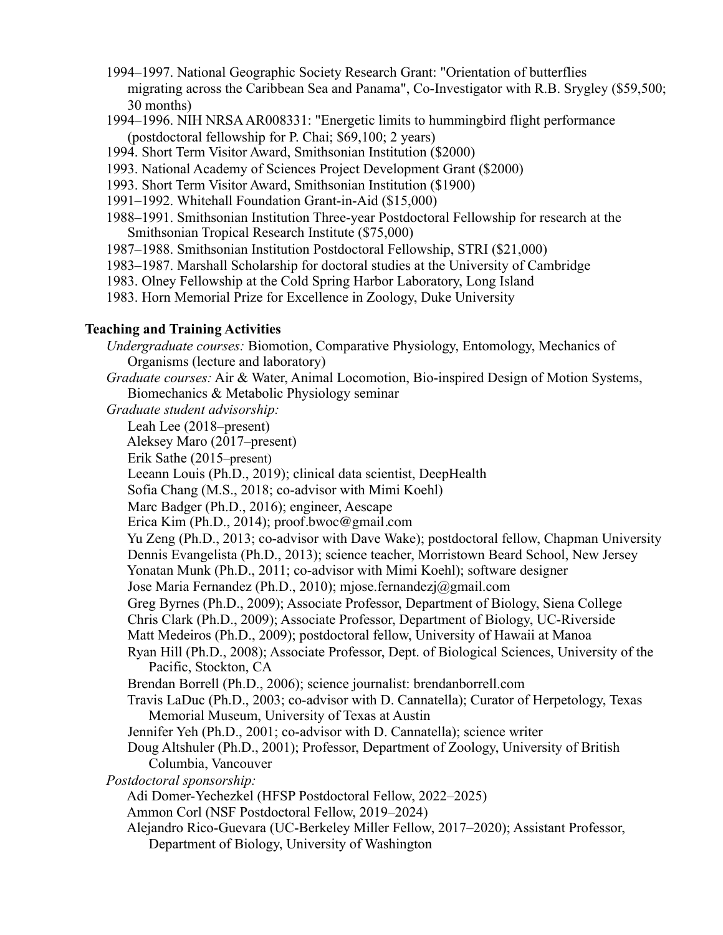- 1994–1997. National Geographic Society Research Grant: "Orientation of butterflies migrating across the Caribbean Sea and Panama", Co-Investigator with R.B. Srygley (\$59,500; 30 months)
- 1994–1996. NIH NRSA AR008331: "Energetic limits to hummingbird flight performance (postdoctoral fellowship for P. Chai; \$69,100; 2 years)
- 1994. Short Term Visitor Award, Smithsonian Institution (\$2000)
- 1993. National Academy of Sciences Project Development Grant (\$2000)
- 1993. Short Term Visitor Award, Smithsonian Institution (\$1900)
- 1991–1992. Whitehall Foundation Grant-in-Aid (\$15,000)
- 1988–1991. Smithsonian Institution Three-year Postdoctoral Fellowship for research at the Smithsonian Tropical Research Institute (\$75,000)
- 1987–1988. Smithsonian Institution Postdoctoral Fellowship, STRI (\$21,000)
- 1983–1987. Marshall Scholarship for doctoral studies at the University of Cambridge
- 1983. Olney Fellowship at the Cold Spring Harbor Laboratory, Long Island
- 1983. Horn Memorial Prize for Excellence in Zoology, Duke University

## **Teaching and Training Activities**

*Undergraduate courses:* Biomotion, Comparative Physiology, Entomology, Mechanics of Organisms (lecture and laboratory) *Graduate courses:* Air & Water, Animal Locomotion, Bio-inspired Design of Motion Systems, Biomechanics & Metabolic Physiology seminar *Graduate student advisorship:* Leah Lee (2018–present) Aleksey Maro (2017–present) Erik Sathe (2015–present) Leeann Louis (Ph.D., 2019); clinical data scientist, DeepHealth Sofia Chang (M.S., 2018; co-advisor with Mimi Koehl) Marc Badger (Ph.D., 2016); engineer, Aescape Erica Kim (Ph.D., 2014); proof.bwoc@gmail.com Yu Zeng (Ph.D., 2013; co-advisor with Dave Wake); postdoctoral fellow, Chapman University Dennis Evangelista (Ph.D., 2013); science teacher, Morristown Beard School, New Jersey Yonatan Munk (Ph.D., 2011; co-advisor with Mimi Koehl); software designer Jose Maria Fernandez (Ph.D., 2010); mjose.fernandezj@gmail.com Greg Byrnes (Ph.D., 2009); Associate Professor, Department of Biology, Siena College Chris Clark (Ph.D., 2009); Associate Professor, Department of Biology, UC-Riverside Matt Medeiros (Ph.D., 2009); postdoctoral fellow, University of Hawaii at Manoa Ryan Hill (Ph.D., 2008); Associate Professor, Dept. of Biological Sciences, University of the Pacific, Stockton, CA Brendan Borrell (Ph.D., 2006); science journalist: brendanborrell.com Travis LaDuc (Ph.D., 2003; co-advisor with D. Cannatella); Curator of Herpetology, Texas Memorial Museum, University of Texas at Austin Jennifer Yeh (Ph.D., 2001; co-advisor with D. Cannatella); science writer Doug Altshuler (Ph.D., 2001); Professor, Department of Zoology, University of British Columbia, Vancouver *Postdoctoral sponsorship:*  Adi Domer-Yechezkel (HFSP Postdoctoral Fellow, 2022–2025) Ammon Corl (NSF Postdoctoral Fellow, 2019–2024) Alejandro Rico-Guevara (UC-Berkeley Miller Fellow, 2017–2020); Assistant Professor, Department of Biology, University of Washington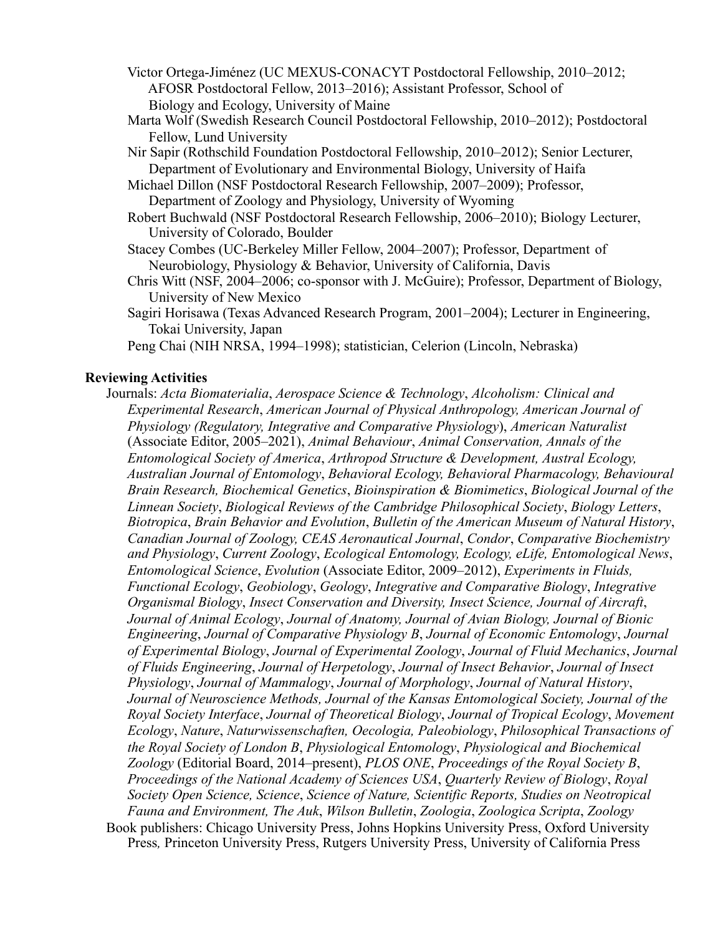Victor Ortega-Jiménez (UC MEXUS-CONACYT Postdoctoral Fellowship, 2010–2012; AFOSR Postdoctoral Fellow, 2013–2016); Assistant Professor, School of Biology and Ecology, University of Maine

- Marta Wolf (Swedish Research Council Postdoctoral Fellowship, 2010–2012); Postdoctoral Fellow, Lund University
- Nir Sapir (Rothschild Foundation Postdoctoral Fellowship, 2010–2012); Senior Lecturer, Department of Evolutionary and Environmental Biology, University of Haifa

 Michael Dillon (NSF Postdoctoral Research Fellowship, 2007–2009); Professor, Department of Zoology and Physiology, University of Wyoming

- Robert Buchwald (NSF Postdoctoral Research Fellowship, 2006–2010); Biology Lecturer, University of Colorado, Boulder
- Stacey Combes (UC-Berkeley Miller Fellow, 2004–2007); Professor, Department of Neurobiology, Physiology & Behavior, University of California, Davis
- Chris Witt (NSF, 2004–2006; co-sponsor with J. McGuire); Professor, Department of Biology, University of New Mexico
- Sagiri Horisawa (Texas Advanced Research Program, 2001–2004); Lecturer in Engineering, Tokai University, Japan
- Peng Chai (NIH NRSA, 1994–1998); statistician, Celerion (Lincoln, Nebraska)

#### **Reviewing Activities**

 Journals: *Acta Biomaterialia*, *Aerospace Science & Technology*, *Alcoholism: Clinical and Experimental Research*, *American Journal of Physical Anthropology, American Journal of Physiology (Regulatory, Integrative and Comparative Physiology*), *American Naturalist* (Associate Editor, 2005–2021), *Animal Behaviour*, *Animal Conservation, Annals of the Entomological Society of America*, *Arthropod Structure & Development, Austral Ecology, Australian Journal of Entomology*, *Behavioral Ecology, Behavioral Pharmacology, Behavioural Brain Research, Biochemical Genetics*, *Bioinspiration & Biomimetics*, *Biological Journal of the Linnean Society*, *Biological Reviews of the Cambridge Philosophical Society*, *Biology Letters*, *Biotropica*, *Brain Behavior and Evolution*, *Bulletin of the American Museum of Natural History*, *Canadian Journal of Zoology, CEAS Aeronautical Journal*, *Condor*, *Comparative Biochemistry and Physiology*, *Current Zoology*, *Ecological Entomology, Ecology, eLife, Entomological News*, *Entomological Science*, *Evolution* (Associate Editor, 2009–2012), *Experiments in Fluids, Functional Ecology*, *Geobiology*, *Geology*, *Integrative and Comparative Biology*, *Integrative Organismal Biology*, *Insect Conservation and Diversity, Insect Science, Journal of Aircraft*, *Journal of Animal Ecology*, *Journal of Anatomy, Journal of Avian Biology, Journal of Bionic Engineering*, *Journal of Comparative Physiology B*, *Journal of Economic Entomology*, *Journal of Experimental Biology*, *Journal of Experimental Zoology*, *Journal of Fluid Mechanics*, *Journal of Fluids Engineering*, *Journal of Herpetology*, *Journal of Insect Behavior*, *Journal of Insect Physiology*, *Journal of Mammalogy*, *Journal of Morphology*, *Journal of Natural History*, *Journal of Neuroscience Methods, Journal of the Kansas Entomological Society, Journal of the Royal Society Interface*, *Journal of Theoretical Biology*, *Journal of Tropical Ecology*, *Movement Ecology*, *Nature*, *Naturwissenschaften, Oecologia, Paleobiology*, *Philosophical Transactions of the Royal Society of London B*, *Physiological Entomology*, *Physiological and Biochemical Zoology* (Editorial Board, 2014–present), *PLOS ONE*, *Proceedings of the Royal Society B*, *Proceedings of the National Academy of Sciences USA*, *Quarterly Review of Biology*, *Royal Society Open Science, Science*, *Science of Nature, Scientific Reports, Studies on Neotropical Fauna and Environment, The Auk*, *Wilson Bulletin*, *Zoologia*, *Zoologica Scripta*, *Zoology* Book publishers: Chicago University Press, Johns Hopkins University Press, Oxford University Press*,* Princeton University Press, Rutgers University Press, University of California Press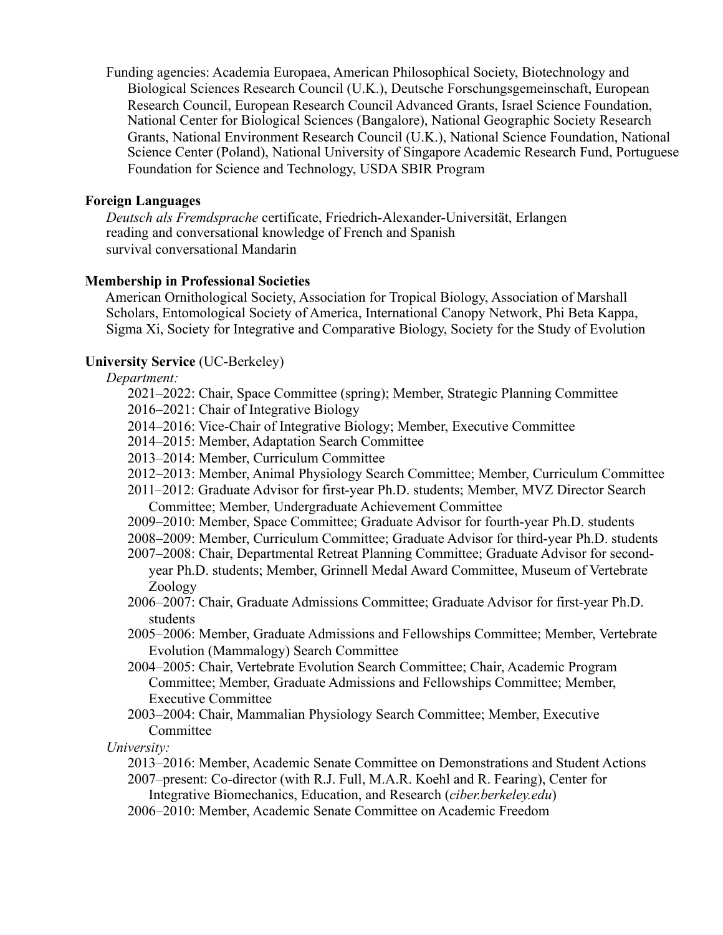Funding agencies: Academia Europaea, American Philosophical Society, Biotechnology and Biological Sciences Research Council (U.K.), Deutsche Forschungsgemeinschaft, European Research Council, European Research Council Advanced Grants, Israel Science Foundation, National Center for Biological Sciences (Bangalore), National Geographic Society Research Grants, National Environment Research Council (U.K.), National Science Foundation, National Science Center (Poland), National University of Singapore Academic Research Fund, Portuguese Foundation for Science and Technology, USDA SBIR Program

### **Foreign Languages**

 *Deutsch als Fremdsprache* certificate, Friedrich-Alexander-Universität, Erlangen reading and conversational knowledge of French and Spanish survival conversational Mandarin

#### **Membership in Professional Societies**

 American Ornithological Society, Association for Tropical Biology, Association of Marshall Scholars, Entomological Society of America, International Canopy Network, Phi Beta Kappa, Sigma Xi, Society for Integrative and Comparative Biology, Society for the Study of Evolution

#### **University Service** (UC-Berkeley)

#### *Department:*

- 2021–2022: Chair, Space Committee (spring); Member, Strategic Planning Committee
- 2016–2021: Chair of Integrative Biology
- 2014–2016: Vice-Chair of Integrative Biology; Member, Executive Committee
- 2014–2015: Member, Adaptation Search Committee
- 2013–2014: Member, Curriculum Committee
- 2012–2013: Member, Animal Physiology Search Committee; Member, Curriculum Committee
- 2011–2012: Graduate Advisor for first-year Ph.D. students; Member, MVZ Director Search Committee; Member, Undergraduate Achievement Committee
- 2009–2010: Member, Space Committee; Graduate Advisor for fourth-year Ph.D. students
- 2008–2009: Member, Curriculum Committee; Graduate Advisor for third-year Ph.D. students
- 2007–2008: Chair, Departmental Retreat Planning Committee; Graduate Advisor for second year Ph.D. students; Member, Grinnell Medal Award Committee, Museum of Vertebrate Zoology
- 2006–2007: Chair, Graduate Admissions Committee; Graduate Advisor for first-year Ph.D. students
- 2005–2006: Member, Graduate Admissions and Fellowships Committee; Member, Vertebrate Evolution (Mammalogy) Search Committee
- 2004–2005: Chair, Vertebrate Evolution Search Committee; Chair, Academic Program Committee; Member, Graduate Admissions and Fellowships Committee; Member, Executive Committee
- 2003–2004: Chair, Mammalian Physiology Search Committee; Member, Executive Committee

 *University:* 

2013–2016: Member, Academic Senate Committee on Demonstrations and Student Actions 2007–present: Co-director (with R.J. Full, M.A.R. Koehl and R. Fearing), Center for

Integrative Biomechanics, Education, and Research (*ciber.berkeley.edu*)

2006–2010: Member, Academic Senate Committee on Academic Freedom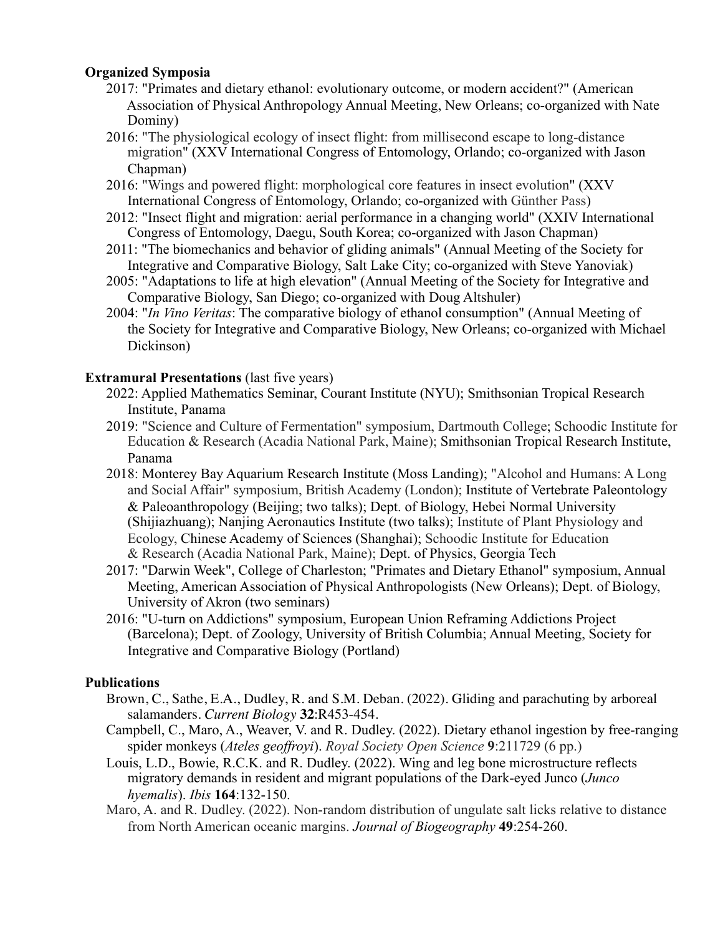## **Organized Symposia**

- 2017: "Primates and dietary ethanol: evolutionary outcome, or modern accident?" (American Association of Physical Anthropology Annual Meeting, New Orleans; co-organized with Nate Dominy)
- 2016: "The physiological ecology of insect flight: from millisecond escape to long-distance migration" (XXV International Congress of Entomology, Orlando; co-organized with Jason Chapman)
- 2016: "Wings and powered flight: morphological core features in insect evolution" (XXV International Congress of Entomology, Orlando; co-organized with Günther Pass)
- 2012: "Insect flight and migration: aerial performance in a changing world" (XXIV International Congress of Entomology, Daegu, South Korea; co-organized with Jason Chapman)
- 2011: "The biomechanics and behavior of gliding animals" (Annual Meeting of the Society for Integrative and Comparative Biology, Salt Lake City; co-organized with Steve Yanoviak)
- 2005: "Adaptations to life at high elevation" (Annual Meeting of the Society for Integrative and Comparative Biology, San Diego; co-organized with Doug Altshuler)
- 2004: "*In Vino Veritas*: The comparative biology of ethanol consumption" (Annual Meeting of the Society for Integrative and Comparative Biology, New Orleans; co-organized with Michael Dickinson)

## **Extramural Presentations (last five years)**

- 2022: Applied Mathematics Seminar, Courant Institute (NYU); Smithsonian Tropical Research Institute, Panama
- 2019: "Science and Culture of Fermentation" symposium, Dartmouth College; Schoodic Institute for Education & Research (Acadia National Park, Maine); Smithsonian Tropical Research Institute, Panama
- 2018: Monterey Bay Aquarium Research Institute (Moss Landing); "Alcohol and Humans: A Long and Social Affair" symposium, British Academy (London); Institute of Vertebrate Paleontology & Paleoanthropology (Beijing; two talks); Dept. of Biology, Hebei Normal University (Shijiazhuang); Nanjing Aeronautics Institute (two talks); Institute of Plant Physiology and Ecology, Chinese Academy of Sciences (Shanghai); Schoodic Institute for Education & Research (Acadia National Park, Maine); Dept. of Physics, Georgia Tech
- 2017: "Darwin Week", College of Charleston; "Primates and Dietary Ethanol" symposium, Annual Meeting, American Association of Physical Anthropologists (New Orleans); Dept. of Biology, University of Akron (two seminars)
- 2016: "U-turn on Addictions" symposium, European Union Reframing Addictions Project (Barcelona); Dept. of Zoology, University of British Columbia; Annual Meeting, Society for Integrative and Comparative Biology (Portland)

## **Publications**

- Brown, C., Sathe, E.A., Dudley, R. and S.M. Deban. (2022). Gliding and parachuting by arboreal salamanders. *Current Biology* **32**:R453-454.
- Campbell, C., Maro, A., Weaver, V. and R. Dudley. (2022). Dietary ethanol ingestion by free-ranging spider monkeys (*Ateles geoffroyi*). *Royal Society Open Science* **9**:211729 (6 pp.)
- Louis, L.D., Bowie, R.C.K. and R. Dudley. (2022). Wing and leg bone microstructure reflects migratory demands in resident and migrant populations of the Dark-eyed Junco (*Junco hyemalis*). *Ibis* **164**:132-150.
- Maro, A. and R. Dudley. (2022). Non-random distribution of ungulate salt licks relative to distance from North American oceanic margins. *Journal of Biogeography* **49**:254-260.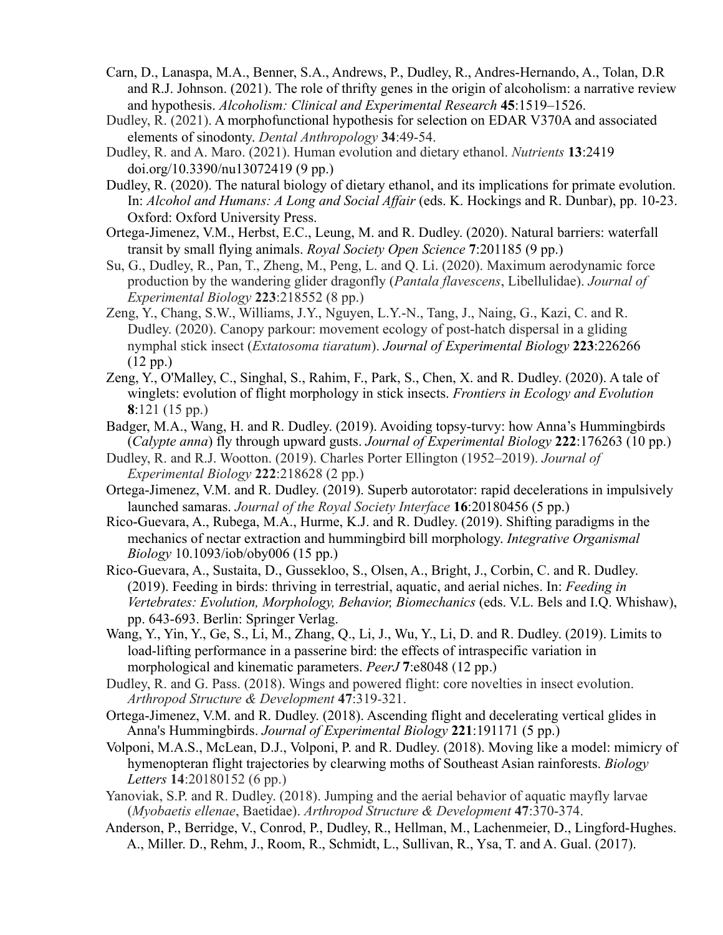- Carn, D., Lanaspa, M.A., Benner, S.A., Andrews, P., Dudley, R., Andres-Hernando, A., Tolan, D.R and R.J. Johnson. (2021). The role of thrifty genes in the origin of alcoholism: a narrative review and hypothesis. *Alcoholism: Clinical and Experimental Research* **45**:1519–1526.
- Dudley, R. (2021). A morphofunctional hypothesis for selection on EDAR V370A and associated elements of sinodonty. *Dental Anthropology* **34**:49-54.
- Dudley, R. and A. Maro. (2021). Human evolution and dietary ethanol. *Nutrients* **13**:2419 doi.org/10.3390/nu13072419 (9 pp.)
- Dudley, R. (2020). The natural biology of dietary ethanol, and its implications for primate evolution. In: *Alcohol and Humans: A Long and Social Affair* (eds. K. Hockings and R. Dunbar), pp. 10-23. Oxford: Oxford University Press.
- Ortega-Jimenez, V.M., Herbst, E.C., Leung, M. and R. Dudley. (2020). Natural barriers: waterfall transit by small flying animals. *Royal Society Open Science* **7**:201185 (9 pp.)
- Su, G., Dudley, R., Pan, T., Zheng, M., Peng, L. and Q. Li. (2020). Maximum aerodynamic force production by the wandering glider dragonfly (*Pantala flavescens*, Libellulidae). *Journal of Experimental Biology* **223**:218552 (8 pp.)
- Zeng, Y., Chang, S.W., Williams, J.Y., Nguyen, L.Y.-N., Tang, J., Naing, G., Kazi, C. and R. Dudley. (2020). Canopy parkour: movement ecology of post-hatch dispersal in a gliding nymphal stick insect (*Extatosoma tiaratum*). *Journal of Experimental Biology* **223**:226266 (12 pp.)
- Zeng, Y., O'Malley, C., Singhal, S., Rahim, F., Park, S., Chen, X. and R. Dudley. (2020). A tale of winglets: evolution of flight morphology in stick insects. *Frontiers in Ecology and Evolution* **8**:121 (15 pp.)
- Badger, M.A., Wang, H. and R. Dudley. (2019). Avoiding topsy-turvy: how Anna's Hummingbirds (*Calypte anna*) fly through upward gusts. *Journal of Experimental Biology* **222**:176263 (10 pp.)
- Dudley, R. and R.J. Wootton. (2019). Charles Porter Ellington (1952–2019). *Journal of Experimental Biology* **222**:218628 (2 pp.)
- Ortega-Jimenez, V.M. and R. Dudley. (2019). Superb autorotator: rapid decelerations in impulsively launched samaras. *Journal of the Royal Society Interface* **16**:20180456 (5 pp.)
- Rico-Guevara, A., Rubega, M.A., Hurme, K.J. and R. Dudley. (2019). Shifting paradigms in the mechanics of nectar extraction and hummingbird bill morphology. *Integrative Organismal Biology* 10.1093/iob/oby006 (15 pp.)
- Rico-Guevara, A., Sustaita, D., Gussekloo, S., Olsen, A., Bright, J., Corbin, C. and R. Dudley. (2019). Feeding in birds: thriving in terrestrial, aquatic, and aerial niches. In: *Feeding in Vertebrates: Evolution, Morphology, Behavior, Biomechanics* (eds. V.L. Bels and I.Q. Whishaw), pp. 643-693. Berlin: Springer Verlag.
- Wang, Y., Yin, Y., Ge, S., Li, M., Zhang, Q., Li, J., Wu, Y., Li, D. and R. Dudley. (2019). Limits to load-lifting performance in a passerine bird: the effects of intraspecific variation in morphological and kinematic parameters. *PeerJ* **7**:e8048 (12 pp.)
- Dudley, R. and G. Pass. (2018). Wings and powered flight: core novelties in insect evolution. *Arthropod Structure & Development* **47**:319-321.
- Ortega-Jimenez, V.M. and R. Dudley. (2018). Ascending flight and decelerating vertical glides in Anna's Hummingbirds. *Journal of Experimental Biology* **221**:191171 (5 pp.)
- Volponi, M.A.S., McLean, D.J., Volponi, P. and R. Dudley. (2018). Moving like a model: mimicry of hymenopteran flight trajectories by clearwing moths of Southeast Asian rainforests. *Biology Letters* **14**:20180152 (6 pp.)
- Yanoviak, S.P. and R. Dudley. (2018). Jumping and the aerial behavior of aquatic mayfly larvae (*Myobaetis ellenae*, Baetidae). *Arthropod Structure & Development* **47**:370-374.
- Anderson, P., Berridge, V., Conrod, P., Dudley, R., Hellman, M., Lachenmeier, D., Lingford-Hughes. A., Miller. D., Rehm, J., Room, R., Schmidt, L., Sullivan, R., Ysa, T. and A. Gual. (2017).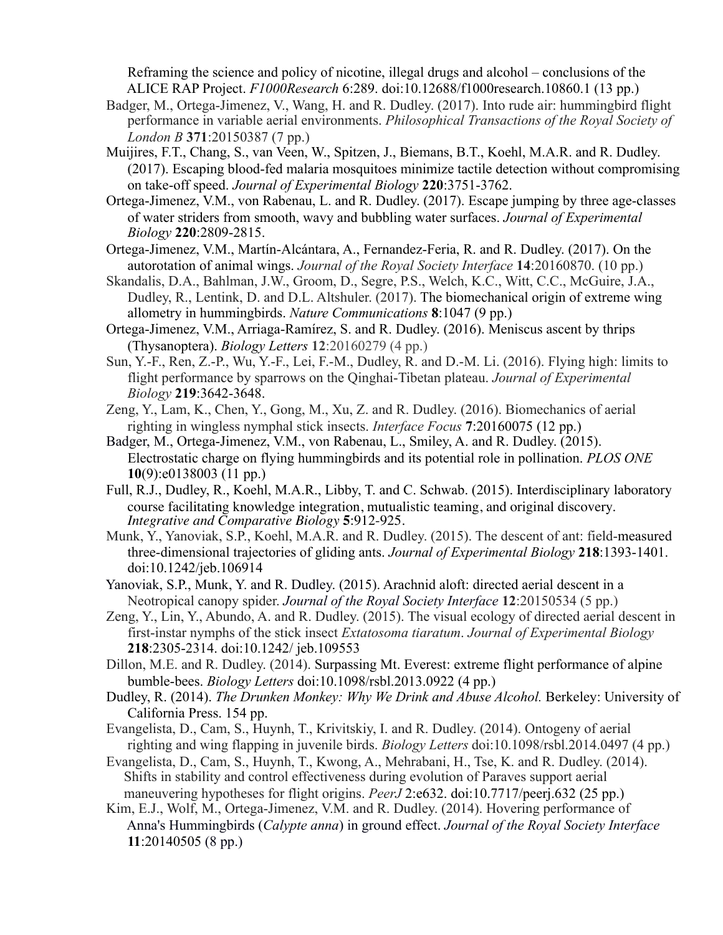Reframing the science and policy of nicotine, illegal drugs and alcohol – conclusions of the ALICE RAP Project. *F1000Research* 6:289. doi:10.12688/f1000research.10860.1 (13 pp.)

- Badger, M., Ortega-Jimenez, V., Wang, H. and R. Dudley. (2017). Into rude air: hummingbird flight performance in variable aerial environments. *Philosophical Transactions of the Royal Society of London B* **371**:20150387 (7 pp.)
- Muijires, F.T., Chang, S., van Veen, W., Spitzen, J., Biemans, B.T., Koehl, M.A.R. and R. Dudley. (2017). Escaping blood-fed malaria mosquitoes minimize tactile detection without compromising on take-off speed. *Journal of Experimental Biology* **220**:3751-3762.
- Ortega-Jimenez, V.M., von Rabenau, L. and R. Dudley. (2017). Escape jumping by three age-classes of water striders from smooth, wavy and bubbling water surfaces. *Journal of Experimental Biology* **220**:2809-2815.
- Ortega-Jimenez, V.M., Martín-Alcántara, A., Fernandez-Feria, R. and R. Dudley. (2017). On the autorotation of animal wings. *Journal of the Royal Society Interface* **14**:20160870. (10 pp.)
- Skandalis, D.A., Bahlman, J.W., Groom, D., Segre, P.S., Welch, K.C., Witt, C.C., McGuire, J.A., Dudley, R., Lentink, D. and D.L. Altshuler. (2017). The biomechanical origin of extreme wing allometry in hummingbirds. *Nature Communications* **8**:1047 (9 pp.)
- Ortega-Jimenez, V.M., Arriaga-Ramírez, S. and R. Dudley. (2016). Meniscus ascent by thrips (Thysanoptera). *Biology Letters* **12**:20160279 (4 pp.)
- Sun, Y.-F., Ren, Z.-P., Wu, Y.-F., Lei, F.-M., Dudley, R. and D.-M. Li. (2016). Flying high: limits to flight performance by sparrows on the Qinghai-Tibetan plateau. *Journal of Experimental Biology* **219**:3642-3648.
- Zeng, Y., Lam, K., Chen, Y., Gong, M., Xu, Z. and R. Dudley. (2016). Biomechanics of aerial righting in wingless nymphal stick insects. *Interface Focus* **7**:20160075 (12 pp.)
- Badger, M., Ortega-Jimenez, V.M., von Rabenau, L., Smiley, A. and R. Dudley. (2015). Electrostatic charge on flying hummingbirds and its potential role in pollination. *PLOS ONE* **10**(9):e0138003 (11 pp.)
- Full, R.J., Dudley, R., Koehl, M.A.R., Libby, T. and C. Schwab. (2015). Interdisciplinary laboratory course facilitating knowledge integration, mutualistic teaming, and original discovery.<br>*Integrative and Comparative Biology* **5**:912-925.
- Munk, Y., Yanoviak, S.P., Koehl, M.A.R. and R. Dudley. (2015). The descent of ant: field-measured three-dimensional trajectories of gliding ants. *Journal of Experimental Biology* **218**:1393-1401. doi:10.1242/jeb.106914
- Yanoviak, S.P., Munk, Y. and R. Dudley. (2015). Arachnid aloft: directed aerial descent in a Neotropical canopy spider. *Journal of the Royal Society Interface* **12**:20150534 (5 pp.)
- Zeng, Y., Lin, Y., Abundo, A. and R. Dudley. (2015). The visual ecology of directed aerial descent in first-instar nymphs of the stick insect *Extatosoma tiaratum*. *Journal of Experimental Biology* **218**:2305-2314. doi:10.1242/ jeb.109553
- Dillon, M.E. and R. Dudley. (2014). Surpassing Mt. Everest: extreme flight performance of alpine bumble-bees. *Biology Letters* doi:10.1098/rsbl.2013.0922 (4 pp.)
- Dudley, R. (2014). *The Drunken Monkey: Why We Drink and Abuse Alcohol.* Berkeley: University of California Press. 154 pp.
- Evangelista, D., Cam, S., Huynh, T., Krivitskiy, I. and R. Dudley. (2014). Ontogeny of aerial righting and wing flapping in juvenile birds. *Biology Letters* doi:10.1098/rsbl.2014.0497 (4 pp.)
- Evangelista, D., Cam, S., Huynh, T., Kwong, A., Mehrabani, H., Tse, K. and R. Dudley. (2014). Shifts in stability and control effectiveness during evolution of Paraves support aerial maneuvering hypotheses for flight origins. *PeerJ* 2:e632. doi:10.7717/peerj.632 (25 pp.)
- Kim, E.J., Wolf, M., Ortega-Jimenez, V.M. and R. Dudley. (2014). Hovering performance of Anna's Hummingbirds (*Calypte anna*) in ground effect. *Journal of the Royal Society Interface* **11**:20140505 (8 pp.)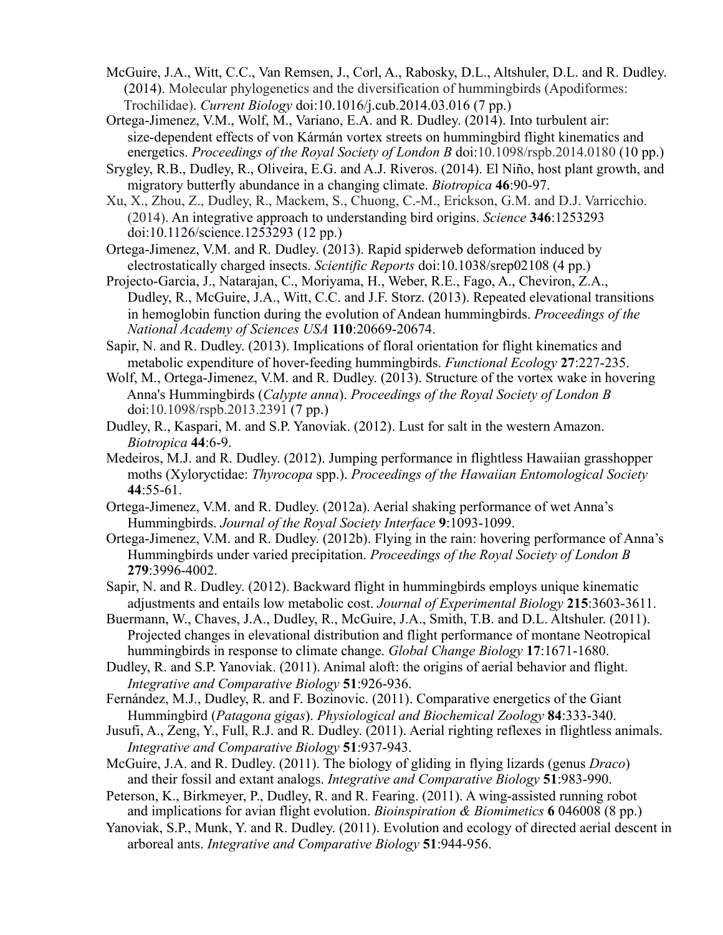- McGuire, J.A., Witt, C.C., Van Remsen, J., Corl, A., Rabosky, D.L., Altshuler, D.L. and R. Dudley. (2014). Molecular phylogenetics and the diversification of hummingbirds (Apodiformes: Trochilidae). *Current Biology* doi:10.1016/j.cub.2014.03.016 (7 pp.)
- Ortega-Jimenez, V.M., Wolf, M., Variano, E.A. and R. Dudley. (2014). Into turbulent air: size-dependent effects of von Kármán vortex streets on hummingbird flight kinematics and energetics. *Proceedings of the Royal Society of London B* doi:10.1098/rspb.2014.0180 (10 pp.) Srygley, R.B., Dudley, R., Oliveira, E.G. and A.J. Riveros. (2014). El Niño, host plant growth, and
- migratory butterfly abundance in a changing climate. *Biotropica* **46**:90-97.
- Xu, X., Zhou, Z., Dudley, R., Mackem, S., Chuong, C.-M., Erickson, G.M. and D.J. Varricchio. (2014). An integrative approach to understanding bird origins. *Science* **346**:1253293 doi:10.1126/science.1253293 (12 pp.)

Ortega-Jimenez, V.M. and R. Dudley. (2013). Rapid spiderweb deformation induced by electrostatically charged insects. *Scientific Reports* doi:10.1038/srep02108 (4 pp.)

- Projecto-Garcia, J., Natarajan, C., Moriyama, H., Weber, R.E., Fago, A., Cheviron, Z.A., Dudley, R., McGuire, J.A., Witt, C.C. and J.F. Storz. (2013). Repeated elevational transitions in hemoglobin function during the evolution of Andean hummingbirds. *Proceedings of the National Academy of Sciences USA* **110**:20669-20674.
- Sapir, N. and R. Dudley. (2013). Implications of floral orientation for flight kinematics and metabolic expenditure of hover-feeding hummingbirds. *Functional Ecology* **27**:227-235.
- Wolf, M., Ortega-Jimenez, V.M. and R. Dudley. (2013). Structure of the vortex wake in hovering Anna's Hummingbirds (*Calypte anna*). *Proceedings of the Royal Society of London B* doi:10.1098/rspb.2013.2391 (7 pp.)
- Dudley, R., Kaspari, M. and S.P. Yanoviak. (2012). Lust for salt in the western Amazon. *Biotropica* **44**:6-9.
- Medeiros, M.J. and R. Dudley. (2012). Jumping performance in flightless Hawaiian grasshopper moths (Xyloryctidae: *Thyrocopa* spp.). *Proceedings of the Hawaiian Entomological Society* **44**:55-61.
- Ortega-Jimenez, V.M. and R. Dudley. (2012a). Aerial shaking performance of wet Anna's Hummingbirds. *Journal of the Royal Society Interface* **9**:1093-1099.
- Ortega-Jimenez, V.M. and R. Dudley. (2012b). Flying in the rain: hovering performance of Anna's Hummingbirds under varied precipitation. *Proceedings of the Royal Society of London B* **279**:3996-4002.
- Sapir, N. and R. Dudley. (2012). Backward flight in hummingbirds employs unique kinematic adjustments and entails low metabolic cost. *Journal of Experimental Biology* **215**:3603-3611.
- Buermann, W., Chaves, J.A., Dudley, R., McGuire, J.A., Smith, T.B. and D.L. Altshuler. (2011). Projected changes in elevational distribution and flight performance of montane Neotropical hummingbirds in response to climate change. *Global Change Biology* **17**:1671-1680.
- Dudley, R. and S.P. Yanoviak. (2011). Animal aloft: the origins of aerial behavior and flight. *Integrative and Comparative Biology* **51**:926-936.
- Fernández, M.J., Dudley, R. and F. Bozinovic. (2011). Comparative energetics of the Giant Hummingbird (*Patagona gigas*). *Physiological and Biochemical Zoology* **84**:333-340.
- Jusufi, A., Zeng, Y., Full, R.J. and R. Dudley. (2011). Aerial righting reflexes in flightless animals. *Integrative and Comparative Biology* **51**:937-943.
- McGuire, J.A. and R. Dudley. (2011). The biology of gliding in flying lizards (genus *Draco*) and their fossil and extant analogs. *Integrative and Comparative Biology* **51**:983-990.
- Peterson, K., Birkmeyer, P., Dudley, R. and R. Fearing. (2011). A wing-assisted running robot and implications for avian flight evolution. *Bioinspiration & Biomimetics* **6** 046008 (8 pp.)
- Yanoviak, S.P., Munk, Y. and R. Dudley. (2011). Evolution and ecology of directed aerial descent in arboreal ants. *Integrative and Comparative Biology* **51**:944-956.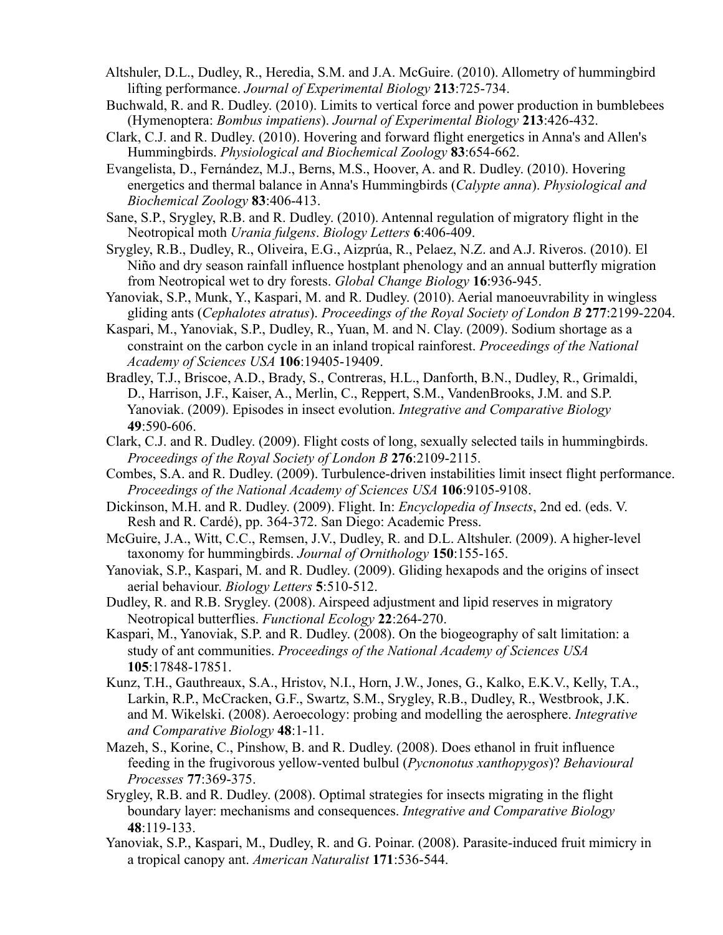- Altshuler, D.L., Dudley, R., Heredia, S.M. and J.A. McGuire. (2010). Allometry of hummingbird lifting performance. *Journal of Experimental Biology* **213**:725-734.
- Buchwald, R. and R. Dudley. (2010). Limits to vertical force and power production in bumblebees (Hymenoptera: *Bombus impatiens*). *Journal of Experimental Biology* **213**:426-432.
- Clark, C.J. and R. Dudley. (2010). Hovering and forward flight energetics in Anna's and Allen's Hummingbirds. *Physiological and Biochemical Zoology* **83**:654-662.
- Evangelista, D., Fernández, M.J., Berns, M.S., Hoover, A. and R. Dudley. (2010). Hovering energetics and thermal balance in Anna's Hummingbirds (*Calypte anna*). *Physiological and Biochemical Zoology* **83**:406-413.
- Sane, S.P., Srygley, R.B. and R. Dudley. (2010). Antennal regulation of migratory flight in the Neotropical moth *Urania fulgens*. *Biology Letters* **6**:406-409.
- Srygley, R.B., Dudley, R., Oliveira, E.G., Aizprúa, R., Pelaez, N.Z. and A.J. Riveros. (2010). El Niño and dry season rainfall influence hostplant phenology and an annual butterfly migration from Neotropical wet to dry forests. *Global Change Biology* **16**:936-945.
- Yanoviak, S.P., Munk, Y., Kaspari, M. and R. Dudley. (2010). Aerial manoeuvrability in wingless gliding ants (*Cephalotes atratus*). *Proceedings of the Royal Society of London B* **277**:2199-2204.
- Kaspari, M., Yanoviak, S.P., Dudley, R., Yuan, M. and N. Clay. (2009). Sodium shortage as a constraint on the carbon cycle in an inland tropical rainforest. *Proceedings of the National Academy of Sciences USA* **106**:19405-19409.
- Bradley, T.J., Briscoe, A.D., Brady, S., Contreras, H.L., Danforth, B.N., Dudley, R., Grimaldi, D., Harrison, J.F., Kaiser, A., Merlin, C., Reppert, S.M., VandenBrooks, J.M. and S.P. Yanoviak. (2009). Episodes in insect evolution. *Integrative and Comparative Biology*  **49**:590-606.
- Clark, C.J. and R. Dudley. (2009). Flight costs of long, sexually selected tails in hummingbirds. *Proceedings of the Royal Society of London B* **276**:2109-2115.
- Combes, S.A. and R. Dudley. (2009). Turbulence-driven instabilities limit insect flight performance. *Proceedings of the National Academy of Sciences USA* **106**:9105-9108.
- Dickinson, M.H. and R. Dudley. (2009). Flight. In: *Encyclopedia of Insects*, 2nd ed. (eds. V. Resh and R. Cardé), pp. 364-372. San Diego: Academic Press.
- McGuire, J.A., Witt, C.C., Remsen, J.V., Dudley, R. and D.L. Altshuler. (2009). A higher-level taxonomy for hummingbirds. *Journal of Ornithology* **150**:155-165.
- Yanoviak, S.P., Kaspari, M. and R. Dudley. (2009). Gliding hexapods and the origins of insect aerial behaviour. *Biology Letters* **5**:510-512.
- Dudley, R. and R.B. Srygley. (2008). Airspeed adjustment and lipid reserves in migratory Neotropical butterflies. *Functional Ecology* **22**:264-270.
- Kaspari, M., Yanoviak, S.P. and R. Dudley. (2008). On the biogeography of salt limitation: a study of ant communities. *Proceedings of the National Academy of Sciences USA* **105**:17848-17851.
- Kunz, T.H., Gauthreaux, S.A., Hristov, N.I., Horn, J.W., Jones, G., Kalko, E.K.V., Kelly, T.A., Larkin, R.P., McCracken, G.F., Swartz, S.M., Srygley, R.B., Dudley, R., Westbrook, J.K. and M. Wikelski. (2008). Aeroecology: probing and modelling the aerosphere. *Integrative and Comparative Biology* **48**:1-11.
- Mazeh, S., Korine, C., Pinshow, B. and R. Dudley. (2008). Does ethanol in fruit influence feeding in the frugivorous yellow-vented bulbul (*Pycnonotus xanthopygos*)? *Behavioural Processes* **77**:369-375.
- Srygley, R.B. and R. Dudley. (2008). Optimal strategies for insects migrating in the flight boundary layer: mechanisms and consequences. *Integrative and Comparative Biology* **48**:119-133.
- Yanoviak, S.P., Kaspari, M., Dudley, R. and G. Poinar. (2008). Parasite-induced fruit mimicry in a tropical canopy ant. *American Naturalist* **171**:536-544.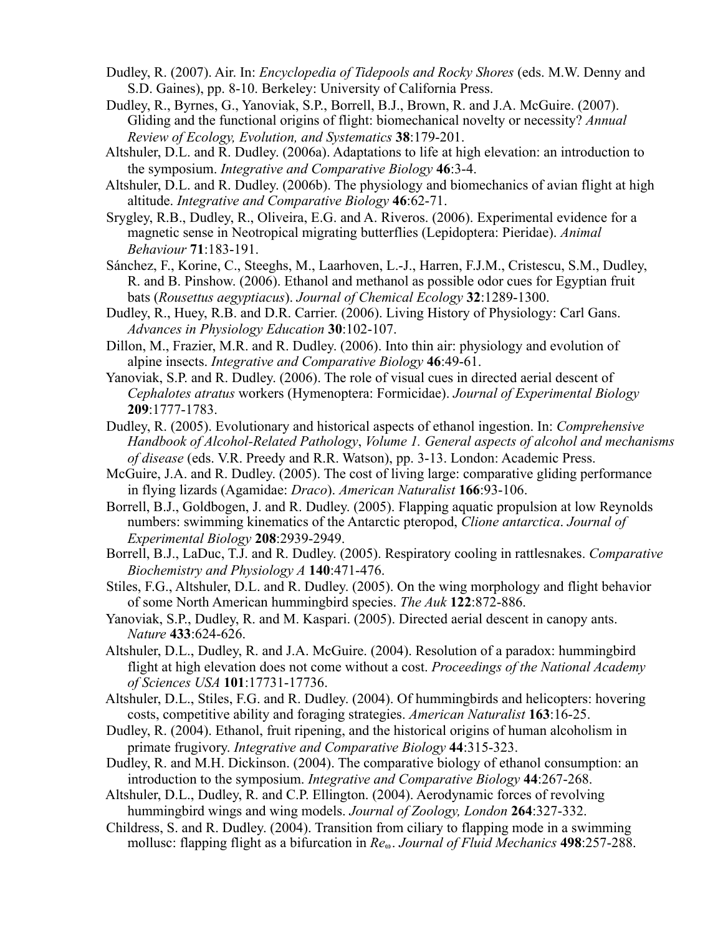- Dudley, R. (2007). Air. In: *Encyclopedia of Tidepools and Rocky Shores* (eds. M.W. Denny and S.D. Gaines), pp. 8-10. Berkeley: University of California Press.
- Dudley, R., Byrnes, G., Yanoviak, S.P., Borrell, B.J., Brown, R. and J.A. McGuire. (2007). Gliding and the functional origins of flight: biomechanical novelty or necessity? *Annual Review of Ecology, Evolution, and Systematics* **38**:179-201.
- Altshuler, D.L. and R. Dudley. (2006a). Adaptations to life at high elevation: an introduction to the symposium. *Integrative and Comparative Biology* **46**:3-4.
- Altshuler, D.L. and R. Dudley. (2006b). The physiology and biomechanics of avian flight at high altitude. *Integrative and Comparative Biology* **46**:62-71.
- Srygley, R.B., Dudley, R., Oliveira, E.G. and A. Riveros. (2006). Experimental evidence for a magnetic sense in Neotropical migrating butterflies (Lepidoptera: Pieridae). *Animal Behaviour* **71**:183-191.
- Sánchez, F., Korine, C., Steeghs, M., Laarhoven, L.-J., Harren, F.J.M., Cristescu, S.M., Dudley, R. and B. Pinshow. (2006). Ethanol and methanol as possible odor cues for Egyptian fruit bats (*Rousettus aegyptiacus*). *Journal of Chemical Ecology* **32**:1289-1300.
- Dudley, R., Huey, R.B. and D.R. Carrier. (2006). Living History of Physiology: Carl Gans. *Advances in Physiology Education* **30**:102-107.
- Dillon, M., Frazier, M.R. and R. Dudley. (2006). Into thin air: physiology and evolution of alpine insects. *Integrative and Comparative Biology* **46**:49-61.
- Yanoviak, S.P. and R. Dudley. (2006). The role of visual cues in directed aerial descent of *Cephalotes atratus* workers (Hymenoptera: Formicidae). *Journal of Experimental Biology* **209**:1777-1783.
- Dudley, R. (2005). Evolutionary and historical aspects of ethanol ingestion. In: *Comprehensive Handbook of Alcohol-Related Pathology*, *Volume 1. General aspects of alcohol and mechanisms of disease* (eds. V.R. Preedy and R.R. Watson), pp. 3-13. London: Academic Press.
- McGuire, J.A. and R. Dudley. (2005). The cost of living large: comparative gliding performance in flying lizards (Agamidae: *Draco*). *American Naturalist* **166**:93-106.
- Borrell, B.J., Goldbogen, J. and R. Dudley. (2005). Flapping aquatic propulsion at low Reynolds numbers: swimming kinematics of the Antarctic pteropod, *Clione antarctica*. *Journal of Experimental Biology* **208**:2939-2949.
- Borrell, B.J., LaDuc, T.J. and R. Dudley. (2005). Respiratory cooling in rattlesnakes. *Comparative Biochemistry and Physiology A* **140**:471-476.
- Stiles, F.G., Altshuler, D.L. and R. Dudley. (2005). On the wing morphology and flight behavior of some North American hummingbird species. *The Auk* **122**:872-886.
- Yanoviak, S.P., Dudley, R. and M. Kaspari. (2005). Directed aerial descent in canopy ants. *Nature* **433**:624-626.
- Altshuler, D.L., Dudley, R. and J.A. McGuire. (2004). Resolution of a paradox: hummingbird flight at high elevation does not come without a cost. *Proceedings of the National Academy of Sciences USA* **101**:17731-17736.
- Altshuler, D.L., Stiles, F.G. and R. Dudley. (2004). Of hummingbirds and helicopters: hovering costs, competitive ability and foraging strategies. *American Naturalist* **163**:16-25.
- Dudley, R. (2004). Ethanol, fruit ripening, and the historical origins of human alcoholism in primate frugivory. *Integrative and Comparative Biology* **44**:315-323.
- Dudley, R. and M.H. Dickinson. (2004). The comparative biology of ethanol consumption: an introduction to the symposium. *Integrative and Comparative Biology* **44**:267-268.
- Altshuler, D.L., Dudley, R. and C.P. Ellington. (2004). Aerodynamic forces of revolving hummingbird wings and wing models. *Journal of Zoology, London* **264**:327-332.
- Childress, S. and R. Dudley. (2004). Transition from ciliary to flapping mode in a swimming mollusc: flapping flight as a bifurcation in *Re*<sup>ω</sup> . *Journal of Fluid Mechanics* **498**:257-288.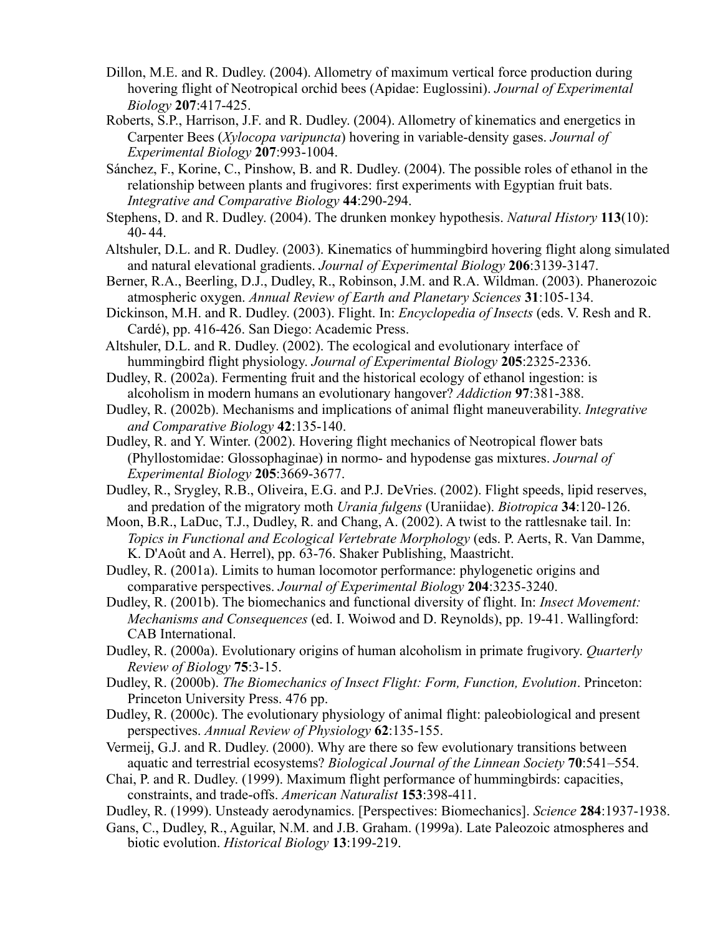- Dillon, M.E. and R. Dudley. (2004). Allometry of maximum vertical force production during hovering flight of Neotropical orchid bees (Apidae: Euglossini). *Journal of Experimental Biology* **207**:417-425.
- Roberts, S.P., Harrison, J.F. and R. Dudley. (2004). Allometry of kinematics and energetics in Carpenter Bees (*Xylocopa varipuncta*) hovering in variable-density gases. *Journal of Experimental Biology* **207**:993-1004.
- Sánchez, F., Korine, C., Pinshow, B. and R. Dudley. (2004). The possible roles of ethanol in the relationship between plants and frugivores: first experiments with Egyptian fruit bats. *Integrative and Comparative Biology* **44**:290-294.
- Stephens, D. and R. Dudley. (2004). The drunken monkey hypothesis. *Natural History* **113**(10): 40- 44.
- Altshuler, D.L. and R. Dudley. (2003). Kinematics of hummingbird hovering flight along simulated and natural elevational gradients. *Journal of Experimental Biology* **206**:3139-3147.
- Berner, R.A., Beerling, D.J., Dudley, R., Robinson, J.M. and R.A. Wildman. (2003). Phanerozoic atmospheric oxygen. *Annual Review of Earth and Planetary Sciences* **31**:105-134.
- Dickinson, M.H. and R. Dudley. (2003). Flight. In: *Encyclopedia of Insects* (eds. V. Resh and R. Cardé), pp. 416-426. San Diego: Academic Press.
- Altshuler, D.L. and R. Dudley. (2002). The ecological and evolutionary interface of hummingbird flight physiology. *Journal of Experimental Biology* **205**:2325-2336.
- Dudley, R. (2002a). Fermenting fruit and the historical ecology of ethanol ingestion: is alcoholism in modern humans an evolutionary hangover? *Addiction* **97**:381-388.
- Dudley, R. (2002b). Mechanisms and implications of animal flight maneuverability. *Integrative and Comparative Biology* **42**:135-140.
- Dudley, R. and Y. Winter. (2002). Hovering flight mechanics of Neotropical flower bats (Phyllostomidae: Glossophaginae) in normo- and hypodense gas mixtures. *Journal of Experimental Biology* **205**:3669-3677.
- Dudley, R., Srygley, R.B., Oliveira, E.G. and P.J. DeVries. (2002). Flight speeds, lipid reserves, and predation of the migratory moth *Urania fulgens* (Uraniidae). *Biotropica* **34**:120-126.
- Moon, B.R., LaDuc, T.J., Dudley, R. and Chang, A. (2002). A twist to the rattlesnake tail. In: *Topics in Functional and Ecological Vertebrate Morphology* (eds. P. Aerts, R. Van Damme, K. D'Août and A. Herrel), pp. 63-76. Shaker Publishing, Maastricht.
- Dudley, R. (2001a). Limits to human locomotor performance: phylogenetic origins and comparative perspectives. *Journal of Experimental Biology* **204**:3235-3240.
- Dudley, R. (2001b). The biomechanics and functional diversity of flight. In: *Insect Movement: Mechanisms and Consequences* (ed. I. Woiwod and D. Reynolds), pp. 19-41. Wallingford: CAB International.
- Dudley, R. (2000a). Evolutionary origins of human alcoholism in primate frugivory. *Quarterly Review of Biology* **75**:3-15.
- Dudley, R. (2000b). *The Biomechanics of Insect Flight: Form, Function, Evolution*. Princeton: Princeton University Press. 476 pp.
- Dudley, R. (2000c). The evolutionary physiology of animal flight: paleobiological and present perspectives. *Annual Review of Physiology* **62**:135-155.
- Vermeij, G.J. and R. Dudley. (2000). Why are there so few evolutionary transitions between aquatic and terrestrial ecosystems? *Biological Journal of the Linnean Society* **70**:541–554.
- Chai, P. and R. Dudley. (1999). Maximum flight performance of hummingbirds: capacities, constraints, and trade-offs. *American Naturalist* **153**:398-411.
- Dudley, R. (1999). Unsteady aerodynamics. [Perspectives: Biomechanics]. *Science* **284**:1937-1938.
- Gans, C., Dudley, R., Aguilar, N.M. and J.B. Graham. (1999a). Late Paleozoic atmospheres and biotic evolution. *Historical Biology* **13**:199-219.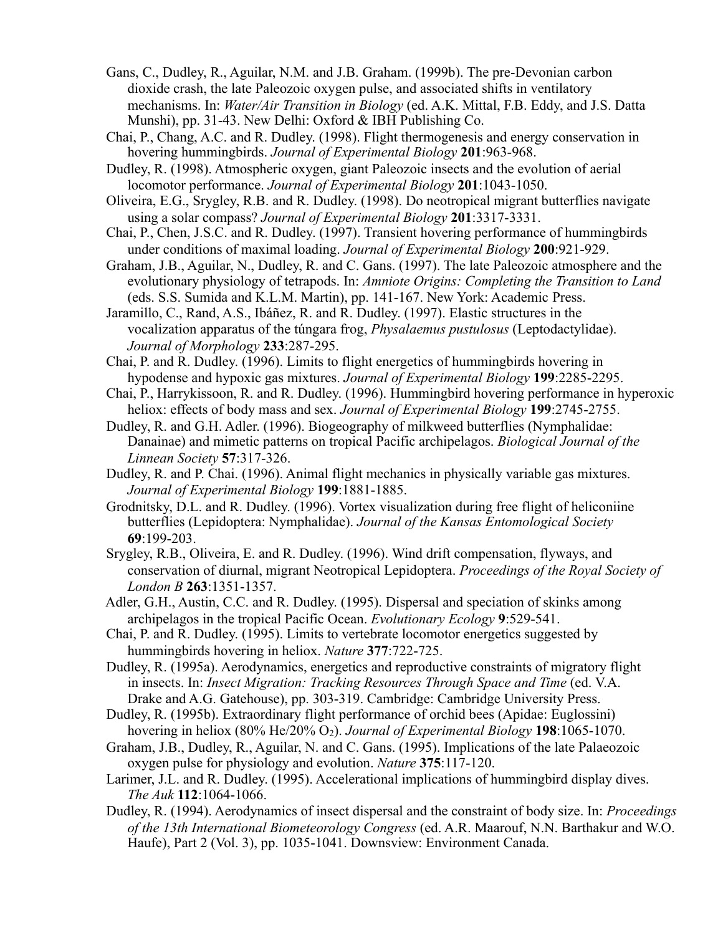- Gans, C., Dudley, R., Aguilar, N.M. and J.B. Graham. (1999b). The pre-Devonian carbon dioxide crash, the late Paleozoic oxygen pulse, and associated shifts in ventilatory mechanisms. In: *Water/Air Transition in Biology* (ed. A.K. Mittal, F.B. Eddy, and J.S. Datta Munshi), pp. 31-43. New Delhi: Oxford & IBH Publishing Co.
- Chai, P., Chang, A.C. and R. Dudley. (1998). Flight thermogenesis and energy conservation in hovering hummingbirds. *Journal of Experimental Biology* **201**:963-968.
- Dudley, R. (1998). Atmospheric oxygen, giant Paleozoic insects and the evolution of aerial locomotor performance. *Journal of Experimental Biology* **201**:1043-1050.
- Oliveira, E.G., Srygley, R.B. and R. Dudley. (1998). Do neotropical migrant butterflies navigate using a solar compass? *Journal of Experimental Biology* **201**:3317-3331.
- Chai, P., Chen, J.S.C. and R. Dudley. (1997). Transient hovering performance of hummingbirds under conditions of maximal loading. *Journal of Experimental Biology* **200**:921-929.
- Graham, J.B., Aguilar, N., Dudley, R. and C. Gans. (1997). The late Paleozoic atmosphere and the evolutionary physiology of tetrapods. In: *Amniote Origins: Completing the Transition to Land* (eds. S.S. Sumida and K.L.M. Martin), pp. 141-167. New York: Academic Press.
- Jaramillo, C., Rand, A.S., Ibáñez, R. and R. Dudley. (1997). Elastic structures in the vocalization apparatus of the túngara frog, *Physalaemus pustulosus* (Leptodactylidae). *Journal of Morphology* **233**:287-295.
- Chai, P. and R. Dudley. (1996). Limits to flight energetics of hummingbirds hovering in hypodense and hypoxic gas mixtures. *Journal of Experimental Biology* **199**:2285-2295.
- Chai, P., Harrykissoon, R. and R. Dudley. (1996). Hummingbird hovering performance in hyperoxic heliox: effects of body mass and sex. *Journal of Experimental Biology* **199**:2745-2755.
- Dudley, R. and G.H. Adler. (1996). Biogeography of milkweed butterflies (Nymphalidae: Danainae) and mimetic patterns on tropical Pacific archipelagos. *Biological Journal of the Linnean Society* **57**:317-326.
- Dudley, R. and P. Chai. (1996). Animal flight mechanics in physically variable gas mixtures. *Journal of Experimental Biology* **199**:1881-1885.
- Grodnitsky, D.L. and R. Dudley. (1996). Vortex visualization during free flight of heliconiine butterflies (Lepidoptera: Nymphalidae). *Journal of the Kansas Entomological Society* **69**:199-203.
- Srygley, R.B., Oliveira, E. and R. Dudley. (1996). Wind drift compensation, flyways, and conservation of diurnal, migrant Neotropical Lepidoptera. *Proceedings of the Royal Society of London B* **263**:1351-1357.
- Adler, G.H., Austin, C.C. and R. Dudley. (1995). Dispersal and speciation of skinks among archipelagos in the tropical Pacific Ocean. *Evolutionary Ecology* **9**:529-541.
- Chai, P. and R. Dudley. (1995). Limits to vertebrate locomotor energetics suggested by hummingbirds hovering in heliox. *Nature* **377**:722-725.
- Dudley, R. (1995a). Aerodynamics, energetics and reproductive constraints of migratory flight in insects. In: *Insect Migration: Tracking Resources Through Space and Time* (ed. V.A. Drake and A.G. Gatehouse), pp. 303-319. Cambridge: Cambridge University Press.
- Dudley, R. (1995b). Extraordinary flight performance of orchid bees (Apidae: Euglossini) hovering in heliox (80% He/20% O2). *Journal of Experimental Biology* **198**:1065-1070.
- Graham, J.B., Dudley, R., Aguilar, N. and C. Gans. (1995). Implications of the late Palaeozoic oxygen pulse for physiology and evolution. *Nature* **375**:117-120.
- Larimer, J.L. and R. Dudley. (1995). Accelerational implications of hummingbird display dives. *The Auk* **112**:1064-1066.
- Dudley, R. (1994). Aerodynamics of insect dispersal and the constraint of body size. In: *Proceedings of the 13th International Biometeorology Congress* (ed. A.R. Maarouf, N.N. Barthakur and W.O. Haufe), Part 2 (Vol. 3), pp. 1035-1041. Downsview: Environment Canada.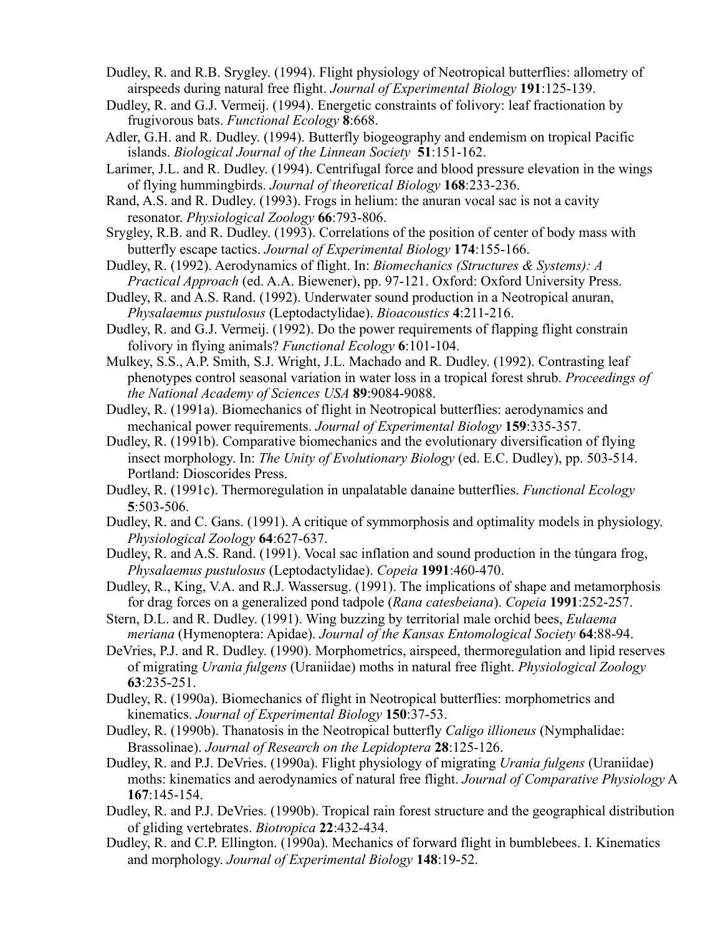- Dudley, R. and R.B. Srygley. (1994). Flight physiology of Neotropical butterflies: allometry of airspeeds during natural free flight. *Journal of Experimental Biology* **191**:125-139.
- Dudley, R. and G.J. Vermeij. (1994). Energetic constraints of folivory: leaf fractionation by frugivorous bats. *Functional Ecology* **8**:668.
- Adler, G.H. and R. Dudley. (1994). Butterfly biogeography and endemism on tropical Pacific islands. *Biological Journal of the Linnean Society* **51**:151-162.
- Larimer, J.L. and R. Dudley. (1994). Centrifugal force and blood pressure elevation in the wings of flying hummingbirds. *Journal of theoretical Biology* **168**:233-236.
- Rand, A.S. and R. Dudley. (1993). Frogs in helium: the anuran vocal sac is not a cavity resonator. *Physiological Zoology* **66**:793-806.
- Srygley, R.B. and R. Dudley. (1993). Correlations of the position of center of body mass with butterfly escape tactics. *Journal of Experimental Biology* **174**:155-166.
- Dudley, R. (1992). Aerodynamics of flight. In: *Biomechanics (Structures & Systems): A Practical Approach* (ed. A.A. Biewener), pp. 97-121. Oxford: Oxford University Press.
- Dudley, R. and A.S. Rand. (1992). Underwater sound production in a Neotropical anuran, *Physalaemus pustulosus* (Leptodactylidae). *Bioacoustics* **4**:211-216.
- Dudley, R. and G.J. Vermeij. (1992). Do the power requirements of flapping flight constrain folivory in flying animals? *Functional Ecology* **6**:101-104.
- Mulkey, S.S., A.P. Smith, S.J. Wright, J.L. Machado and R. Dudley. (1992). Contrasting leaf phenotypes control seasonal variation in water loss in a tropical forest shrub. *Proceedings of the National Academy of Sciences USA* **89**:9084-9088.
- Dudley, R. (1991a). Biomechanics of flight in Neotropical butterflies: aerodynamics and mechanical power requirements. *Journal of Experimental Biology* **159**:335-357.
- Dudley, R. (1991b). Comparative biomechanics and the evolutionary diversification of flying insect morphology. In: *The Unity of Evolutionary Biology* (ed. E.C. Dudley), pp. 503-514. Portland: Dioscorides Press.
- Dudley, R. (1991c). Thermoregulation in unpalatable danaine butterflies. *Functional Ecology* **5**:503-506.
- Dudley, R. and C. Gans. (1991). A critique of symmorphosis and optimality models in physiology. *Physiological Zoology* **64**:627-637.
- Dudley, R. and A.S. Rand. (1991). Vocal sac inflation and sound production in the túngara frog, *Physalaemus pustulosus* (Leptodactylidae). *Copeia* **1991**:460-470.
- Dudley, R., King, V.A. and R.J. Wassersug. (1991). The implications of shape and metamorphosis for drag forces on a generalized pond tadpole (*Rana catesbeiana*). *Copeia* **1991**:252-257.
- Stern, D.L. and R. Dudley. (1991). Wing buzzing by territorial male orchid bees, *Eulaema meriana* (Hymenoptera: Apidae). *Journal of the Kansas Entomological Society* **64**:88-94.
- DeVries, P.J. and R. Dudley. (1990). Morphometrics, airspeed, thermoregulation and lipid reserves of migrating *Urania fulgens* (Uraniidae) moths in natural free flight. *Physiological Zoology* **63**:235-251.
- Dudley, R. (1990a). Biomechanics of flight in Neotropical butterflies: morphometrics and kinematics. *Journal of Experimental Biology* **150**:37-53.
- Dudley, R. (1990b). Thanatosis in the Neotropical butterfly *Caligo illioneus* (Nymphalidae: Brassolinae). *Journal of Research on the Lepidoptera* **28**:125-126.
- Dudley, R. and P.J. DeVries. (1990a). Flight physiology of migrating *Urania fulgens* (Uraniidae) moths: kinematics and aerodynamics of natural free flight. *Journal of Comparative Physiology* A **167**:145-154.
- Dudley, R. and P.J. DeVries. (1990b). Tropical rain forest structure and the geographical distribution of gliding vertebrates. *Biotropica* **22**:432-434.
- Dudley, R. and C.P. Ellington. (1990a). Mechanics of forward flight in bumblebees. I. Kinematics and morphology. *Journal of Experimental Biology* **148**:19-52.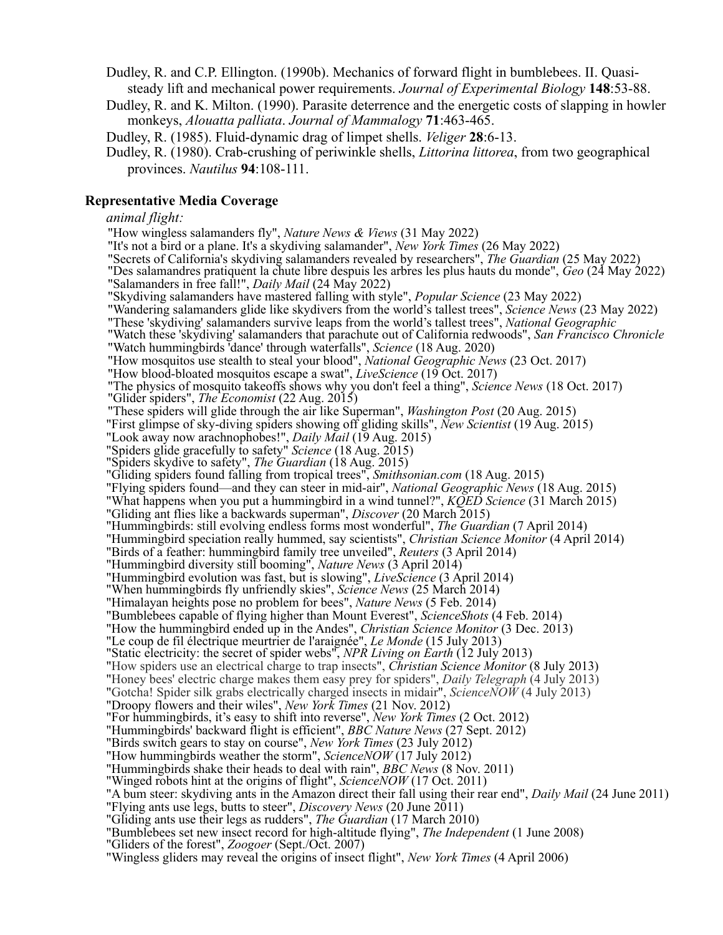Dudley, R. and C.P. Ellington. (1990b). Mechanics of forward flight in bumblebees. II. Quasi steady lift and mechanical power requirements. *Journal of Experimental Biology* **148**:53-88.

 Dudley, R. and K. Milton. (1990). Parasite deterrence and the energetic costs of slapping in howler monkeys, *Alouatta palliata*. *Journal of Mammalogy* **71**:463-465.

Dudley, R. (1985). Fluid-dynamic drag of limpet shells. *Veliger* **28**:6-13.

 Dudley, R. (1980). Crab-crushing of periwinkle shells, *Littorina littorea*, from two geographical provinces. *Nautilus* **94**:108-111.

### **Representative Media Coverage**

#### *animal flight:*

"How wingless salamanders fly", *Nature News & Views* (31 May 2022)

"It's not a bird or a plane. It's a skydiving salamander", *New York Times* (26 May 2022)

"Secrets of California's skydiving salamanders revealed by researchers", *The Guardian* (25 May 2022)

 "Des salamandres pratiquent la chute libre despuis les arbres les plus hauts du monde", *Geo* (24 May 2022) "Salamanders in free fall!", *Daily Mail* (24 May 2022)

"Skydiving salamanders have mastered falling with style", *Popular Science* (23 May 2022)

"Wandering salamanders glide like skydivers from the world's tallest trees", *Science News* (23 May 2022)

"These 'skydiving' salamanders survive leaps from the world's tallest trees", *National Geographic*

 "Watch these 'skydiving' salamanders that parachute out of California redwoods", *San Francisco Chronicle*  "Watch hummingbirds 'dance' through waterfalls", *Science* (18 Aug. 2020)

"How mosquitos use stealth to steal your blood", *National Geographic News* (23 Oct. 2017)

"How blood-bloated mosquitos escape a swat", *LiveScience* (19 Oct. 2017)

"The physics of mosquito takeoffs shows why you don't feel a thing", *Science News* (18 Oct. 2017)

"Glider spiders", *The Economist* (22 Aug. 2015)

"These spiders will glide through the air like Superman", *Washington Post* (20 Aug. 2015)

"First glimpse of sky-diving spiders showing off gliding skills", *New Scientist* (19 Aug. 2015)

"Look away now arachnophobes!", *Daily Mail* (19 Aug. 2015)

"Spiders glide gracefully to safety" *Science* (18 Aug. 2015)

"Spiders skydive to safety", *The Guardian* (18 Aug. 2015)

"Gliding spiders found falling from tropical trees", *Smithsonian.com* (18 Aug. 2015)

"Flying spiders found—and they can steer in mid-air", *National Geographic News* (18 Aug. 2015)

"What happens when you put a hummingbird in a wind tunnel?", *KQED Science* (31 March 2015)

"Gliding ant flies like a backwards superman", *Discover* (20 March 2015)

"Hummingbirds: still evolving endless forms most wonderful", *The Guardian* (7 April 2014)

"Hummingbird speciation really hummed, say scientists", *Christian Science Monitor* (4 April 2014)

"Birds of a feather: hummingbird family tree unveiled", *Reuters* (3 April 2014)

"Hummingbird diversity still booming", *Nature News* (3 April 2014)

"Hummingbird evolution was fast, but is slowing", *LiveScience* (3 April 2014)

"When hummingbirds fly unfriendly skies", *Science News* (25 March 2014)

"Himalayan heights pose no problem for bees", *Nature News* (5 Feb. 2014)

"Bumblebees capable of flying higher than Mount Everest", *ScienceShots* (4 Feb. 2014)

"How the hummingbird ended up in the Andes", *Christian Science Monitor* (3 Dec. 2013)

"Le coup de fil électrique meurtrier de l'araignée", *Le Monde* (15 July 2013)

"Static electricity: the secret of spider webs", *NPR Living on Earth* (12 July 2013)

"How spiders use an electrical charge to trap insects", *Christian Science Monitor* (8 July 2013)

"Honey bees' electric charge makes them easy prey for spiders", *Daily Telegraph* (4 July 2013)

"Gotcha! Spider silk grabs electrically charged insects in midair", *ScienceNOW* (4 July 2013)

"Droopy flowers and their wiles", *New York Times* (21 Nov. 2012)

"For hummingbirds, it's easy to shift into reverse", *New York Times* (2 Oct. 2012)

"Hummingbirds' backward flight is efficient", *BBC Nature News* (27 Sept. 2012)

"Birds switch gears to stay on course", *New York Times* (23 July 2012)

"How hummingbirds weather the storm", *ScienceNOW* (17 July 2012)

"Hummingbirds shake their heads to deal with rain", *BBC News* (8 Nov. 2011)

"Winged robots hint at the origins of flight", *ScienceNOW* (17 Oct. 2011)

"A bum steer: skydiving ants in the Amazon direct their fall using their rear end", *Daily Mail* (24 June 2011)

"Flying ants use legs, butts to steer", *Discovery News* (20 June 2011)

"Gliding ants use their legs as rudders", *The Guardian* (17 March 2010)

"Bumblebees set new insect record for high-altitude flying", *The Independent* (1 June 2008)

"Gliders of the forest", *Zoogoer* (Sept./Oct. 2007)

"Wingless gliders may reveal the origins of insect flight", *New York Times* (4 April 2006)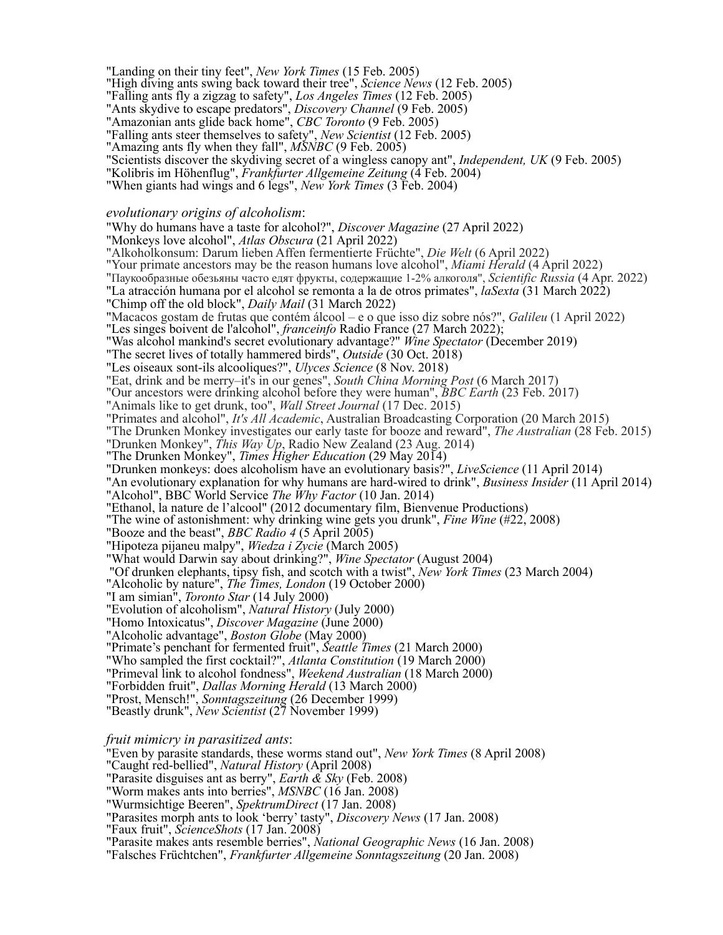"Landing on their tiny feet", *New York Times* (15 Feb. 2005)

"High diving ants swing back toward their tree", *Science News* (12 Feb. 2005)

"Falling ants fly a zigzag to safety", *Los Angeles Times* (12 Feb. 2005)

"Ants skydive to escape predators", *Discovery Channel* (9 Feb. 2005)

"Amazonian ants glide back home", *CBC Toronto* (9 Feb. 2005)

"Falling ants steer themselves to safety", *New Scientist* (12 Feb. 2005)

"Amazing ants fly when they fall", *MSNBC* (9 Feb. 2005)

"Scientists discover the skydiving secret of a wingless canopy ant", *Independent, UK* (9 Feb. 2005)

"Kolibris im Höhenflug", *Frankfurter Allgemeine Zeitung* (4 Feb. 2004)<sup>2</sup>

"When giants had wings and 6 legs", *New York Times* (3 Feb. 2004)

#### *evolutionary origins of alcoholism*:

"Why do humans have a taste for alcohol?", *Discover Magazine* (27 April 2022)

"Monkeys love alcohol", *Atlas Obscura* (21 April 2022)

"Alkoholkonsum: Darum lieben Affen fermentierte Früchte", *Die Welt* (6 April 2022)

"Your primate ancestors may be the reason humans love alcohol", *Miami Herald* (4 April 2022)

"Паукообразные обезьяны часто едят фрукты, содержащие 1-2% алкоголя", *Scientific Russia* (4 Apr. 2022)

"La atracción humana por el alcohol se remonta a la de otros primates", *laSexta* (31 March 2022)

"Chimp off the old block", *Daily Mail* (31 March 2022)

"Macacos gostam de frutas que contém álcool – e o que isso diz sobre nós?", *Galileu* (1 April 2022)

"Les singes boivent de l'alcohol", *franceinfo* Radio France (27 March 2022);

"Was alcohol mankind's secret evolutionary advantage?" *Wine Spectator* (December 2019)

"The secret lives of totally hammered birds", *Outside* (30 Oct. 2018)

"Les oiseaux sont-ils alcooliques?", *Ulyces Science* (8 Nov. 2018)

"Eat, drink and be merry–it's in our genes", *South China Morning Post* (6 March 2017)

"Our ancestors were drinking alcohol before they were human", *BBC Earth* (23 Feb. 2017)

"Animals like to get drunk, too", *Wall Street Journal* (17 Dec. 2015)

"Primates and alcohol", *It's All Academic*, Australian Broadcasting Corporation (20 March 2015)

"The Drunken Monkey investigates our early taste for booze and reward", *The Australian* (28 Feb. 2015)

"Drunken Monkey", *This Way Up*, Radio New Zealand (23 Aug. 2014)

"The Drunken Monkey", *Times Higher Education* (29 May 2014)

"Drunken monkeys: does alcoholism have an evolutionary basis?", *LiveScience* (11 April 2014)

"An evolutionary explanation for why humans are hard-wired to drink", *Business Insider* (11 April 2014)

"Alcohol", BBC World Service *The Why Factor* (10 Jan. 2014)

"Ethanol, la nature de l'alcool" (2012 documentary film, Bienvenue Productions)

"The wine of astonishment: why drinking wine gets you drunk", *Fine Wine* (#22, 2008)

"Booze and the beast", *BBC Radio 4* (5 April 2005)

"Hipoteza pijaneu malpy", *Wiedza i Zycie* (March 2005)

"What would Darwin say about drinking?", *Wine Spectator* (August 2004)

"Of drunken elephants, tipsy fish, and scotch with a twist", *New York Times* (23 March 2004)

"Alcoholic by nature", *The Times, London* (19 October 2000)

"I am simian", *Toronto Star* (14 July 2000)

"Evolution of alcoholism", *Natural History* (July 2000)

"Homo Intoxicatus", *Discover Magazine* (June 2000)

"Alcoholic advantage", *Boston Globe* (May 2000)

"Primate's penchant for fermented fruit", *Seattle Times* (21 March 2000)

"Who sampled the first cocktail?", *Atlanta Constitution* (19 March 2000)

"Primeval link to alcohol fondness", *Weekend Australian* (18 March 2000)

"Forbidden fruit", *Dallas Morning Herald* (13 March 2000)

"Prost, Mensch!", *Sonntagszeitung* (26 December 1999)

"Beastly drunk", *New Scientist* (27 November 1999)

#### *fruit mimicry in parasitized ants*:

"Even by parasite standards, these worms stand out", *New York Times* (8 April 2008)

"Caught red-bellied", *Natural History* (April 2008)

"Parasite disguises ant as berry", *Earth & Sky* (Feb. 2008)

"Worm makes ants into berries", *MSNBC* (16 Jan. 2008)

"Wurmsichtige Beeren", *SpektrumDirect* (17 Jan. 2008)

"Parasites morph ants to look 'berry' tasty", *Discovery News* (17 Jan. 2008)

"Faux fruit", *ScienceShots* (17 Jan. 2008)

"Parasite makes ants resemble berries", *National Geographic News* (16 Jan. 2008)

"Falsches Früchtchen", *Frankfurter Allgemeine Sonntagszeitung* (20 Jan. 2008)